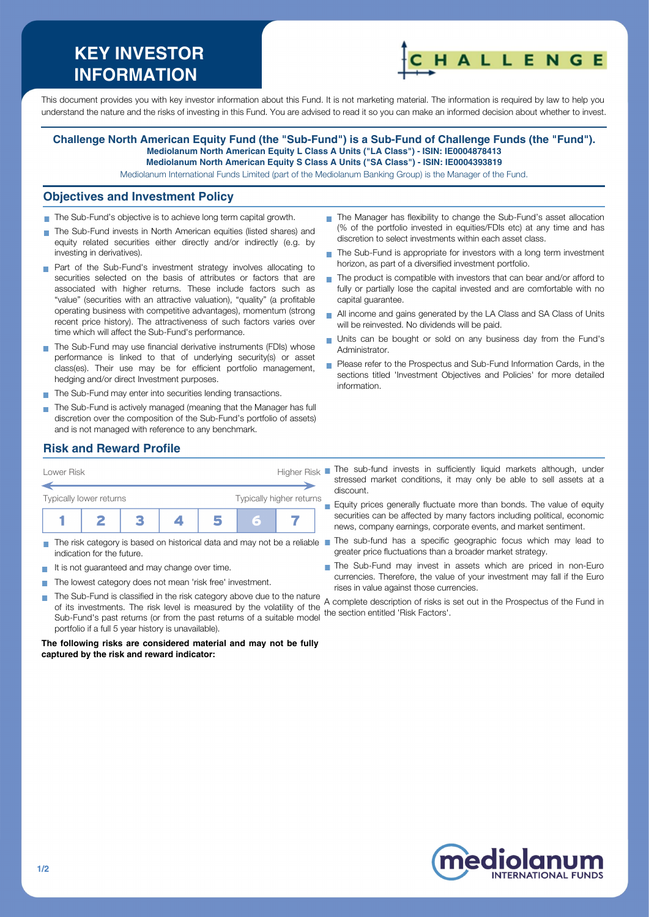# **KEY INVESTOR INFORMATION**



This document provides you with key investor information about this Fund. It is not marketing material. The information is required by law to help you understand the nature and the risks of investing in this Fund. You are advised to read it so you can make an informed decision about whether to invest.

#### **Challenge North American Equity Fund (the "Sub-Fund") is a Sub-Fund of Challenge Funds (the "Fund"). Mediolanum North American Equity L Class A Units ("LA Class") - ISIN: IE0004878413 Mediolanum North American Equity S Class A Units ("SA Class") - ISIN: IE0004393819**

Mediolanum International Funds Limited (part of the Mediolanum Banking Group) is the Manager of the Fund.

#### **Objectives and Investment Policy**

- The Sub-Fund's objective is to achieve long term capital growth.
- The Sub-Fund invests in North American equities (listed shares) and equity related securities either directly and/or indirectly (e.g. by investing in derivatives).
- **Part of the Sub-Fund's investment strategy involves allocating to** securities selected on the basis of attributes or factors that are associated with higher returns. These include factors such as "value" (securities with an attractive valuation), "quality" (a profitable operating business with competitive advantages), momentum (strong recent price history). The attractiveness of such factors varies over time which will affect the Sub-Fund's performance.
- The Sub-Fund may use financial derivative instruments (FDIs) whose performance is linked to that of underlying security(s) or asset class(es). Their use may be for efficient portfolio management, hedging and/or direct Investment purposes.
- The Sub-Fund may enter into securities lending transactions.
- The Sub-Fund is actively managed (meaning that the Manager has full discretion over the composition of the Sub-Fund's portfolio of assets) and is not managed with reference to any benchmark.
- The Manager has flexibility to change the Sub-Fund's asset allocation (% of the portfolio invested in equities/FDIs etc) at any time and has discretion to select investments within each asset class.
- The Sub-Fund is appropriate for investors with a long term investment  $\overline{\phantom{a}}$ horizon, as part of a diversified investment portfolio.
- $\blacksquare$  The product is compatible with investors that can bear and/or afford to fully or partially lose the capital invested and are comfortable with no capital guarantee.
- All income and gains generated by the LA Class and SA Class of Units will be reinvested. No dividends will be paid.
- Units can be bought or sold on any business day from the Fund's Administrator.
- Please refer to the Prospectus and Sub-Fund Information Cards, in the sections titled 'Investment Objectives and Policies' for more detailed information.

# **Risk and Reward Profile**



- indication for the future.
- It is not quaranteed and may change over time.
- The lowest category does not mean 'risk free' investment.  $\sim$ 
	- The Sub-Fund is classified in the risk category above due to the nature of its investments. The risk level is measured by the volatility of the Sub-Fund's past returns (or from the past returns of a suitable model portfolio if a full 5 year history is unavailable). the section entitled 'Risk Factors'.

**The following risks are considered material and may not be fully captured by the risk and reward indicator:**

stressed market conditions, it may only be able to sell assets at a discount.

**Equity prices generally fluctuate more than bonds. The value of equity** securities can be affected by many factors including political, economic news, company earnings, corporate events, and market sentiment.

- The risk category is based on historical data and may not be a reliable The sub-fund has a specific geographic focus which may lead to greater price fluctuations than a broader market strategy.
	- The Sub-Fund may invest in assets which are priced in non-Euro currencies. Therefore, the value of your investment may fall if the Euro rises in value against those currencies.

A complete description of risks is set out in the Prospectus of the Fund in



**T**